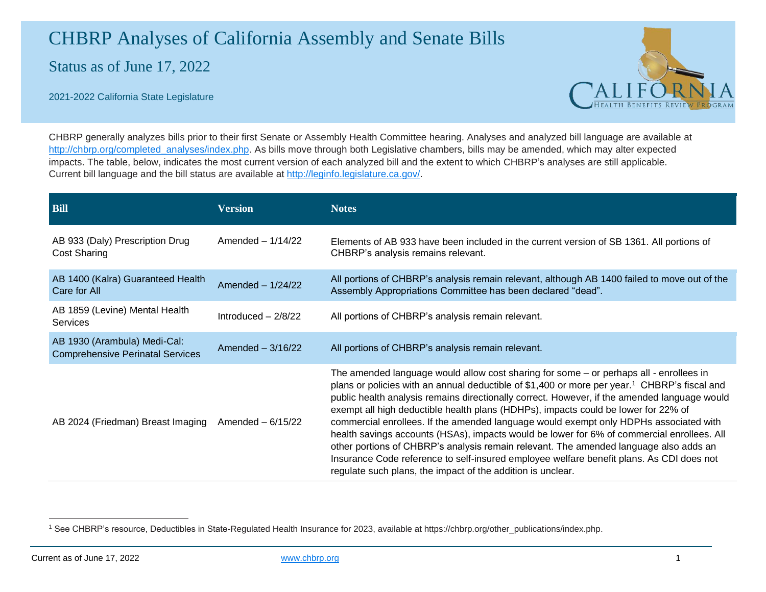## CHBRP Analyses of California Assembly and Senate Bills

Status as of June 17, 2022



2021-2022 California State Legislature

CHBRP generally analyzes bills prior to their first Senate or Assembly Health Committee hearing. Analyses and analyzed bill language are available at [http://chbrp.org/completed\\_analyses/index.php.](http://chbrp.org/completed_analyses/index.php) As bills move through both Legislative chambers, bills may be amended, which may alter expected impacts. The table, below, indicates the most current version of each analyzed bill and the extent to which CHBRP's analyses are still applicable. Current bill language and the bill status are available at [http://leginfo.legislature.ca.gov/.](http://leginfo.legislature.ca.gov/)

| <b>Bill</b>                                                             | <b>Version</b>       | <b>Notes</b>                                                                                                                                                                                                                                                                                                                                                                                                                                                                                                                                                                                                                                                                                                                                                                                                                        |
|-------------------------------------------------------------------------|----------------------|-------------------------------------------------------------------------------------------------------------------------------------------------------------------------------------------------------------------------------------------------------------------------------------------------------------------------------------------------------------------------------------------------------------------------------------------------------------------------------------------------------------------------------------------------------------------------------------------------------------------------------------------------------------------------------------------------------------------------------------------------------------------------------------------------------------------------------------|
| AB 933 (Daly) Prescription Drug<br><b>Cost Sharing</b>                  | Amended $-1/14/22$   | Elements of AB 933 have been included in the current version of SB 1361. All portions of<br>CHBRP's analysis remains relevant.                                                                                                                                                                                                                                                                                                                                                                                                                                                                                                                                                                                                                                                                                                      |
| AB 1400 (Kalra) Guaranteed Health<br>Care for All                       | Amended $-1/24/22$   | All portions of CHBRP's analysis remain relevant, although AB 1400 failed to move out of the<br>Assembly Appropriations Committee has been declared "dead".                                                                                                                                                                                                                                                                                                                                                                                                                                                                                                                                                                                                                                                                         |
| AB 1859 (Levine) Mental Health<br><b>Services</b>                       | Introduced $-2/8/22$ | All portions of CHBRP's analysis remain relevant.                                                                                                                                                                                                                                                                                                                                                                                                                                                                                                                                                                                                                                                                                                                                                                                   |
| AB 1930 (Arambula) Medi-Cal:<br><b>Comprehensive Perinatal Services</b> | Amended $-3/16/22$   | All portions of CHBRP's analysis remain relevant.                                                                                                                                                                                                                                                                                                                                                                                                                                                                                                                                                                                                                                                                                                                                                                                   |
| AB 2024 (Friedman) Breast Imaging                                       | Amended $-6/15/22$   | The amended language would allow cost sharing for some - or perhaps all - enrollees in<br>plans or policies with an annual deductible of \$1,400 or more per year. <sup>1</sup> CHBRP's fiscal and<br>public health analysis remains directionally correct. However, if the amended language would<br>exempt all high deductible health plans (HDHPs), impacts could be lower for 22% of<br>commercial enrollees. If the amended language would exempt only HDPHs associated with<br>health savings accounts (HSAs), impacts would be lower for 6% of commercial enrollees. All<br>other portions of CHBRP's analysis remain relevant. The amended language also adds an<br>Insurance Code reference to self-insured employee welfare benefit plans. As CDI does not<br>regulate such plans, the impact of the addition is unclear. |

<sup>1</sup> See CHBRP's resource, Deductibles in State-Regulated Health Insurance for 2023, available at https://chbrp.org/other\_publications/index.php.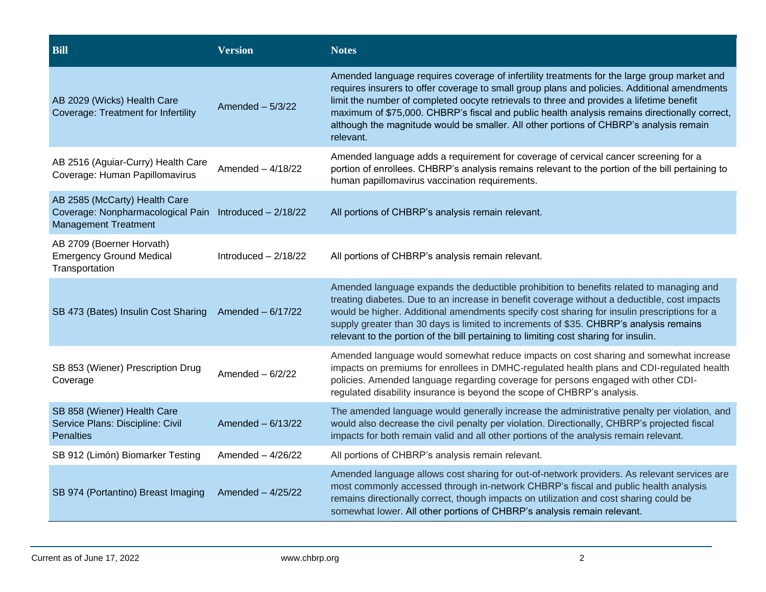| <b>Bill</b>                                                                                                            | <b>Version</b>        | <b>Notes</b>                                                                                                                                                                                                                                                                                                                                                                                                                                                                                    |
|------------------------------------------------------------------------------------------------------------------------|-----------------------|-------------------------------------------------------------------------------------------------------------------------------------------------------------------------------------------------------------------------------------------------------------------------------------------------------------------------------------------------------------------------------------------------------------------------------------------------------------------------------------------------|
| AB 2029 (Wicks) Health Care<br><b>Coverage: Treatment for Infertility</b>                                              | Amended $-5/3/22$     | Amended language requires coverage of infertility treatments for the large group market and<br>requires insurers to offer coverage to small group plans and policies. Additional amendments<br>limit the number of completed oocyte retrievals to three and provides a lifetime benefit<br>maximum of \$75,000. CHBRP's fiscal and public health analysis remains directionally correct,<br>although the magnitude would be smaller. All other portions of CHBRP's analysis remain<br>relevant. |
| AB 2516 (Aguiar-Curry) Health Care<br>Coverage: Human Papillomavirus                                                   | Amended $-4/18/22$    | Amended language adds a requirement for coverage of cervical cancer screening for a<br>portion of enrollees. CHBRP's analysis remains relevant to the portion of the bill pertaining to<br>human papillomavirus vaccination requirements.                                                                                                                                                                                                                                                       |
| AB 2585 (McCarty) Health Care<br>Coverage: Nonpharmacological Pain Introduced - 2/18/22<br><b>Management Treatment</b> |                       | All portions of CHBRP's analysis remain relevant.                                                                                                                                                                                                                                                                                                                                                                                                                                               |
| AB 2709 (Boerner Horvath)<br><b>Emergency Ground Medical</b><br>Transportation                                         | Introduced $-2/18/22$ | All portions of CHBRP's analysis remain relevant.                                                                                                                                                                                                                                                                                                                                                                                                                                               |
| SB 473 (Bates) Insulin Cost Sharing                                                                                    | Amended $-6/17/22$    | Amended language expands the deductible prohibition to benefits related to managing and<br>treating diabetes. Due to an increase in benefit coverage without a deductible, cost impacts<br>would be higher. Additional amendments specify cost sharing for insulin prescriptions for a<br>supply greater than 30 days is limited to increments of \$35. CHBRP's analysis remains<br>relevant to the portion of the bill pertaining to limiting cost sharing for insulin.                        |
| SB 853 (Wiener) Prescription Drug<br>Coverage                                                                          | Amended $-6/2/22$     | Amended language would somewhat reduce impacts on cost sharing and somewhat increase<br>impacts on premiums for enrollees in DMHC-regulated health plans and CDI-regulated health<br>policies. Amended language regarding coverage for persons engaged with other CDI-<br>regulated disability insurance is beyond the scope of CHBRP's analysis.                                                                                                                                               |
| SB 858 (Wiener) Health Care<br>Service Plans: Discipline: Civil<br><b>Penalties</b>                                    | Amended $-6/13/22$    | The amended language would generally increase the administrative penalty per violation, and<br>would also decrease the civil penalty per violation. Directionally, CHBRP's projected fiscal<br>impacts for both remain valid and all other portions of the analysis remain relevant.                                                                                                                                                                                                            |
| SB 912 (Limón) Biomarker Testing                                                                                       | Amended $-4/26/22$    | All portions of CHBRP's analysis remain relevant.                                                                                                                                                                                                                                                                                                                                                                                                                                               |
| SB 974 (Portantino) Breast Imaging                                                                                     | Amended $-4/25/22$    | Amended language allows cost sharing for out-of-network providers. As relevant services are<br>most commonly accessed through in-network CHBRP's fiscal and public health analysis<br>remains directionally correct, though impacts on utilization and cost sharing could be<br>somewhat lower. All other portions of CHBRP's analysis remain relevant.                                                                                                                                         |